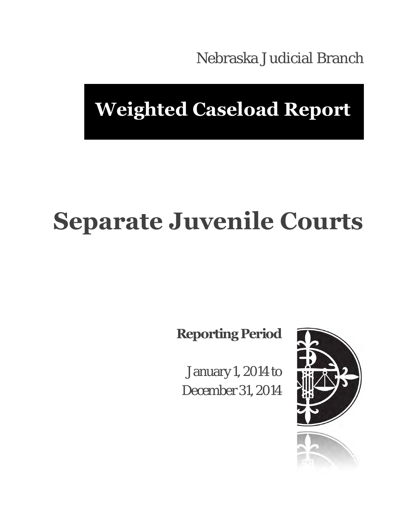Nebraska Judicial Branch

## **Weighted Caseload Report**

# **Separate Juvenile Courts**

**Reporting Period** 

January 1, 2014 to December 31, 2014

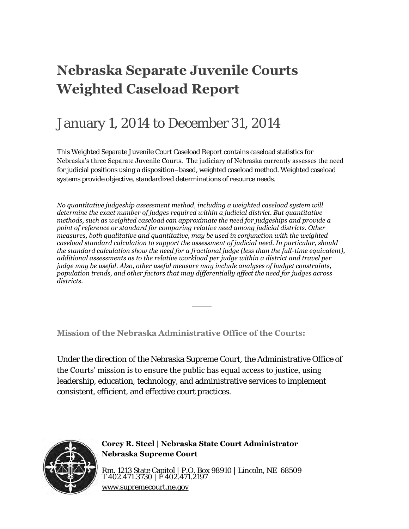## **Nebraska Separate Juvenile Courts Weighted Caseload Report**

### January 1, 2014 to December 31, 2014

This Weighted Separate Juvenile Court Caseload Report contains caseload statistics for Nebraska's three Separate Juvenile Courts. The judiciary of Nebraska currently assesses the need for judicial positions using a disposition–based, weighted caseload method. Weighted caseload systems provide objective, standardized determinations of resource needs.

*No quantitative judgeship assessment method, including a weighted caseload system will determine the exact number of judges required within a judicial district. But quantitative methods, such as weighted caseload can approximate the need for judgeships and provide a point of reference or standard for comparing relative need among judicial districts. Other measures, both qualitative and quantitative, may be used in conjunction with the weighted caseload standard calculation to support the assessment of judicial need. In particular, should the standard calculation show the need for a fractional judge (less than the full-time equivalent), additional assessments as to the relative workload per judge within a district and travel per judge may be useful. Also, other useful measure may include analyses of budget constraints, population trends, and other factors that may differentially affect the need for judges across districts.* 

———

#### **Mission of the Nebraska Administrative Office of the Courts:**

Under the direction of the Nebraska Supreme Court, the Administrative Office of the Courts' mission is to ensure the public has equal access to justice, using leadership, education, technology, and administrative services to implement consistent, efficient, and effective court practices.



**Corey R. Steel | Nebraska State Court Administrator Nebraska Supreme Court** 

Rm. 1213 State Capitol | P.O. Box 98910 | Lincoln, NE 68509 T 402.471.3730 | F 402.471.2197 [www.supremecourt.ne.gov](http://www.supremecourt.ne.gov/)